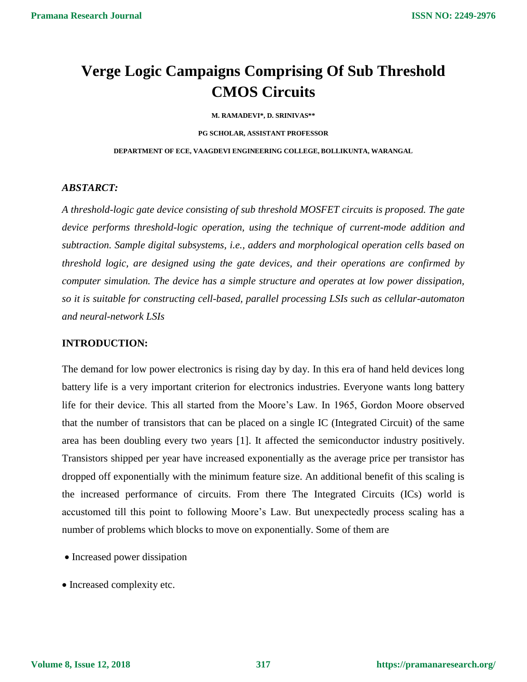# **Verge Logic Campaigns Comprising Of Sub Threshold CMOS Circuits**

**M. RAMADEVI\*, D. SRINIVAS\*\***

**PG SCHOLAR, ASSISTANT PROFESSOR**

**DEPARTMENT OF ECE, VAAGDEVI ENGINEERING COLLEGE, BOLLIKUNTA, WARANGAL**

#### *ABSTARCT:*

*A threshold-logic gate device consisting of sub threshold MOSFET circuits is proposed. The gate device performs threshold-logic operation, using the technique of current-mode addition and subtraction. Sample digital subsystems, i.e., adders and morphological operation cells based on threshold logic, are designed using the gate devices, and their operations are confirmed by computer simulation. The device has a simple structure and operates at low power dissipation, so it is suitable for constructing cell-based, parallel processing LSIs such as cellular-automaton and neural-network LSIs*

#### **INTRODUCTION:**

The demand for low power electronics is rising day by day. In this era of hand held devices long battery life is a very important criterion for electronics industries. Everyone wants long battery life for their device. This all started from the Moore's Law. In 1965, Gordon Moore observed that the number of transistors that can be placed on a single IC (Integrated Circuit) of the same area has been doubling every two years [1]. It affected the semiconductor industry positively. Transistors shipped per year have increased exponentially as the average price per transistor has dropped off exponentially with the minimum feature size. An additional benefit of this scaling is the increased performance of circuits. From there The Integrated Circuits (ICs) world is accustomed till this point to following Moore's Law. But unexpectedly process scaling has a number of problems which blocks to move on exponentially. Some of them are

- Increased power dissipation
- Increased complexity etc.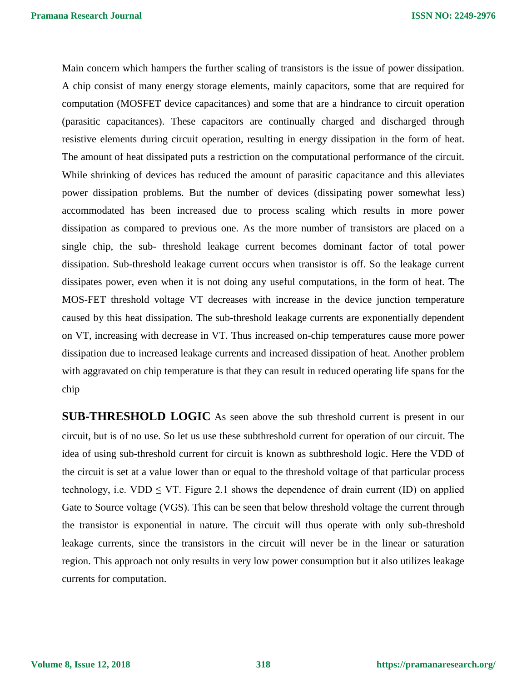Main concern which hampers the further scaling of transistors is the issue of power dissipation. A chip consist of many energy storage elements, mainly capacitors, some that are required for computation (MOSFET device capacitances) and some that are a hindrance to circuit operation (parasitic capacitances). These capacitors are continually charged and discharged through resistive elements during circuit operation, resulting in energy dissipation in the form of heat. The amount of heat dissipated puts a restriction on the computational performance of the circuit. While shrinking of devices has reduced the amount of parasitic capacitance and this alleviates power dissipation problems. But the number of devices (dissipating power somewhat less) accommodated has been increased due to process scaling which results in more power dissipation as compared to previous one. As the more number of transistors are placed on a single chip, the sub- threshold leakage current becomes dominant factor of total power dissipation. Sub-threshold leakage current occurs when transistor is off. So the leakage current dissipates power, even when it is not doing any useful computations, in the form of heat. The MOS-FET threshold voltage VT decreases with increase in the device junction temperature caused by this heat dissipation. The sub-threshold leakage currents are exponentially dependent on VT, increasing with decrease in VT. Thus increased on-chip temperatures cause more power dissipation due to increased leakage currents and increased dissipation of heat. Another problem with aggravated on chip temperature is that they can result in reduced operating life spans for the chip

**SUB-THRESHOLD LOGIC** As seen above the sub threshold current is present in our circuit, but is of no use. So let us use these subthreshold current for operation of our circuit. The idea of using sub-threshold current for circuit is known as subthreshold logic. Here the VDD of the circuit is set at a value lower than or equal to the threshold voltage of that particular process technology, i.e. VDD  $\leq$  VT. Figure 2.1 shows the dependence of drain current (ID) on applied Gate to Source voltage (VGS). This can be seen that below threshold voltage the current through the transistor is exponential in nature. The circuit will thus operate with only sub-threshold leakage currents, since the transistors in the circuit will never be in the linear or saturation region. This approach not only results in very low power consumption but it also utilizes leakage currents for computation.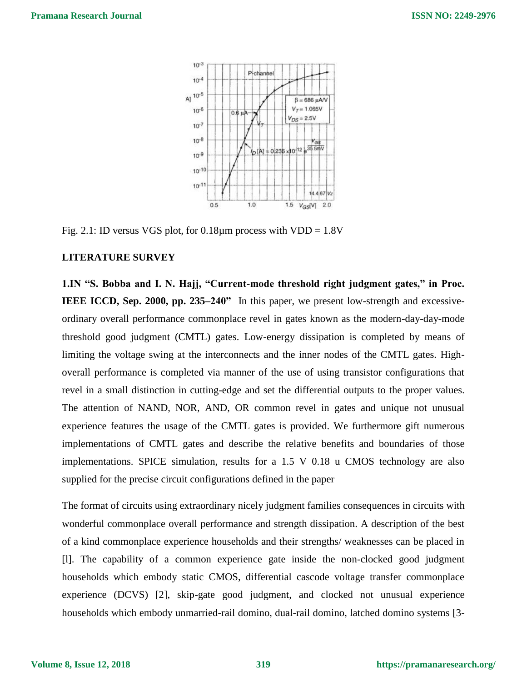

Fig. 2.1: ID versus VGS plot, for  $0.18\mu$ m process with VDD = 1.8V

### **LITERATURE SURVEY**

**1.IN "S. Bobba and I. N. Hajj, "Current-mode threshold right judgment gates," in Proc. IEEE ICCD, Sep. 2000, pp. 235–240"** In this paper, we present low-strength and excessiveordinary overall performance commonplace revel in gates known as the modern-day-day-mode threshold good judgment (CMTL) gates. Low-energy dissipation is completed by means of limiting the voltage swing at the interconnects and the inner nodes of the CMTL gates. Highoverall performance is completed via manner of the use of using transistor configurations that revel in a small distinction in cutting-edge and set the differential outputs to the proper values. The attention of NAND, NOR, AND, OR common revel in gates and unique not unusual experience features the usage of the CMTL gates is provided. We furthermore gift numerous implementations of CMTL gates and describe the relative benefits and boundaries of those implementations. SPICE simulation, results for a 1.5 V 0.18 u CMOS technology are also supplied for the precise circuit configurations defined in the paper

The format of circuits using extraordinary nicely judgment families consequences in circuits with wonderful commonplace overall performance and strength dissipation. A description of the best of a kind commonplace experience households and their strengths/ weaknesses can be placed in [l]. The capability of a common experience gate inside the non-clocked good judgment households which embody static CMOS, differential cascode voltage transfer commonplace experience (DCVS) [2], skip-gate good judgment, and clocked not unusual experience households which embody unmarried-rail domino, dual-rail domino, latched domino systems [3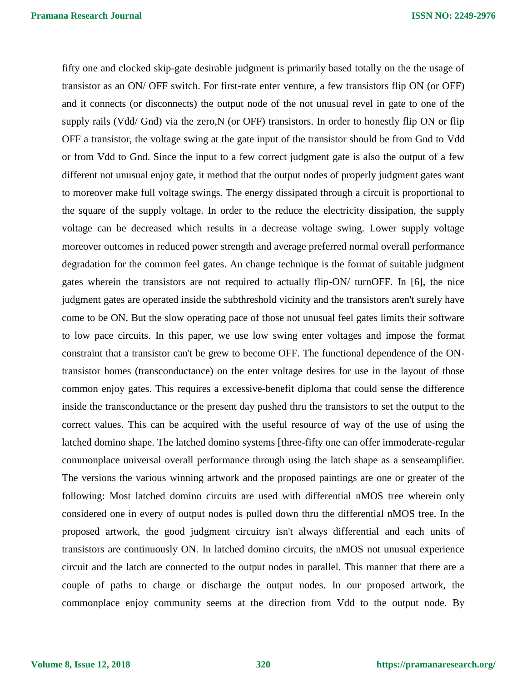fifty one and clocked skip-gate desirable judgment is primarily based totally on the the usage of transistor as an ON/ OFF switch. For first-rate enter venture, a few transistors flip ON (or OFF) and it connects (or disconnects) the output node of the not unusual revel in gate to one of the supply rails (Vdd/ Gnd) via the zero, N (or OFF) transistors. In order to honestly flip ON or flip OFF a transistor, the voltage swing at the gate input of the transistor should be from Gnd to Vdd or from Vdd to Gnd. Since the input to a few correct judgment gate is also the output of a few different not unusual enjoy gate, it method that the output nodes of properly judgment gates want to moreover make full voltage swings. The energy dissipated through a circuit is proportional to the square of the supply voltage. In order to the reduce the electricity dissipation, the supply voltage can be decreased which results in a decrease voltage swing. Lower supply voltage moreover outcomes in reduced power strength and average preferred normal overall performance degradation for the common feel gates. An change technique is the format of suitable judgment gates wherein the transistors are not required to actually flip-ON/ turnOFF. In [6], the nice judgment gates are operated inside the subthreshold vicinity and the transistors aren't surely have come to be ON. But the slow operating pace of those not unusual feel gates limits their software to low pace circuits. In this paper, we use low swing enter voltages and impose the format constraint that a transistor can't be grew to become OFF. The functional dependence of the ONtransistor homes (transconductance) on the enter voltage desires for use in the layout of those common enjoy gates. This requires a excessive-benefit diploma that could sense the difference inside the transconductance or the present day pushed thru the transistors to set the output to the correct values. This can be acquired with the useful resource of way of the use of using the latched domino shape. The latched domino systems [three-fifty one can offer immoderate-regular commonplace universal overall performance through using the latch shape as a senseamplifier. The versions the various winning artwork and the proposed paintings are one or greater of the following: Most latched domino circuits are used with differential nMOS tree wherein only considered one in every of output nodes is pulled down thru the differential nMOS tree. In the proposed artwork, the good judgment circuitry isn't always differential and each units of transistors are continuously ON. In latched domino circuits, the nMOS not unusual experience circuit and the latch are connected to the output nodes in parallel. This manner that there are a couple of paths to charge or discharge the output nodes. In our proposed artwork, the commonplace enjoy community seems at the direction from Vdd to the output node. By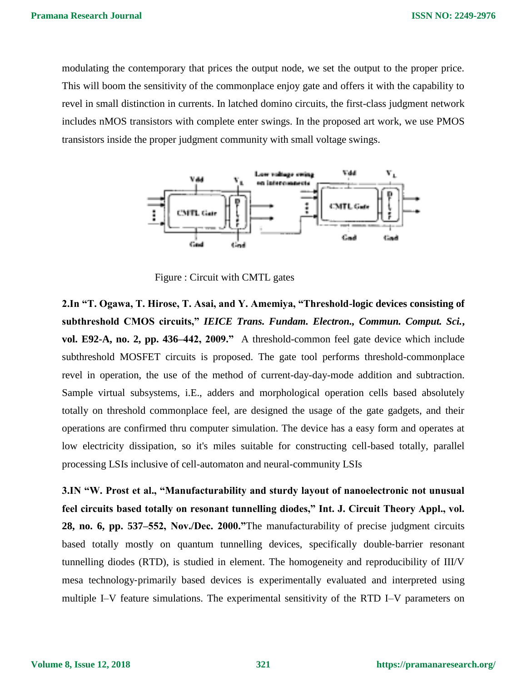modulating the contemporary that prices the output node, we set the output to the proper price. This will boom the sensitivity of the commonplace enjoy gate and offers it with the capability to revel in small distinction in currents. In latched domino circuits, the first-class judgment network includes nMOS transistors with complete enter swings. In the proposed art work, we use PMOS transistors inside the proper judgment community with small voltage swings.



Figure : Circuit with CMTL gates

**2.In "T. Ogawa, T. Hirose, T. Asai, and Y. Amemiya, "Threshold-logic devices consisting of subthreshold CMOS circuits,"** *IEICE Trans. Fundam. Electron., Commun. Comput. Sci.***, vol. E92-A, no. 2, pp. 436–442, 2009."** A threshold-common feel gate device which include subthreshold MOSFET circuits is proposed. The gate tool performs threshold-commonplace revel in operation, the use of the method of current-day-day-mode addition and subtraction. Sample virtual subsystems, i.E., adders and morphological operation cells based absolutely totally on threshold commonplace feel, are designed the usage of the gate gadgets, and their operations are confirmed thru computer simulation. The device has a easy form and operates at low electricity dissipation, so it's miles suitable for constructing cell-based totally, parallel processing LSIs inclusive of cell-automaton and neural-community LSIs

**3.IN "W. Prost et al., "Manufacturability and sturdy layout of nanoelectronic not unusual feel circuits based totally on resonant tunnelling diodes," Int. J. Circuit Theory Appl., vol. 28, no. 6, pp. 537–552, Nov./Dec. 2000."**The manufacturability of precise judgment circuits based totally mostly on quantum tunnelling devices, specifically double-barrier resonant tunnelling diodes (RTD), is studied in element. The homogeneity and reproducibility of III/V mesa technology‐primarily based devices is experimentally evaluated and interpreted using multiple I–V feature simulations. The experimental sensitivity of the RTD I–V parameters on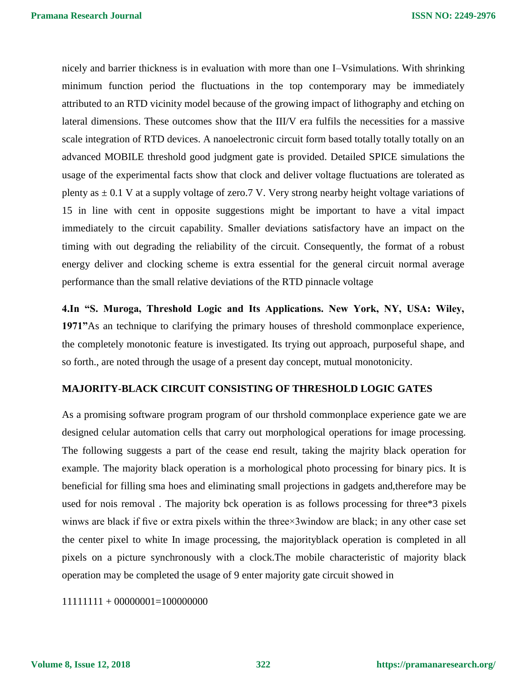nicely and barrier thickness is in evaluation with more than one I–Vsimulations. With shrinking minimum function period the fluctuations in the top contemporary may be immediately attributed to an RTD vicinity model because of the growing impact of lithography and etching on lateral dimensions. These outcomes show that the III/V era fulfils the necessities for a massive scale integration of RTD devices. A nanoelectronic circuit form based totally totally totally on an advanced MOBILE threshold good judgment gate is provided. Detailed SPICE simulations the usage of the experimental facts show that clock and deliver voltage fluctuations are tolerated as plenty as  $\pm$  0.1 V at a supply voltage of zero.7 V. Very strong nearby height voltage variations of 15 in line with cent in opposite suggestions might be important to have a vital impact immediately to the circuit capability. Smaller deviations satisfactory have an impact on the timing with out degrading the reliability of the circuit. Consequently, the format of a robust energy deliver and clocking scheme is extra essential for the general circuit normal average performance than the small relative deviations of the RTD pinnacle voltage

**4.In "S. Muroga, Threshold Logic and Its Applications. New York, NY, USA: Wiley, 1971"**As an technique to clarifying the primary houses of threshold commonplace experience, the completely monotonic feature is investigated. Its trying out approach, purposeful shape, and so forth., are noted through the usage of a present day concept, mutual monotonicity.

# **MAJORITY-BLACK CIRCUIT CONSISTING OF THRESHOLD LOGIC GATES**

As a promising software program program of our thrshold commonplace experience gate we are designed celular automation cells that carry out morphological operations for image processing. The following suggests a part of the cease end result, taking the majrity black operation for example. The majority black operation is a morhological photo processing for binary pics. It is beneficial for filling sma hoes and eliminating small projections in gadgets and,therefore may be used for nois removal . The majority bck operation is as follows processing for three\*3 pixels winws are black if five or extra pixels within the three×3window are black; in any other case set the center pixel to white In image processing, the majorityblack operation is completed in all pixels on a picture synchronously with a clock.The mobile characteristic of majority black operation may be completed the usage of 9 enter majority gate circuit showed in

11111111 + 00000001=100000000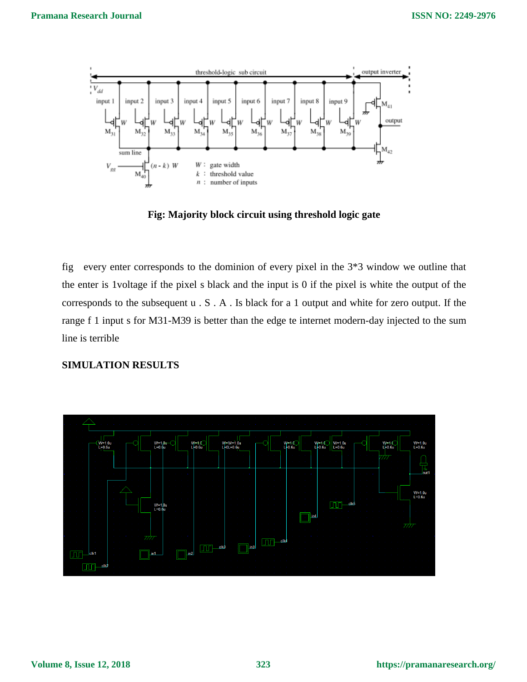

**Fig: Majority block circuit using threshold logic gate**

fig every enter corresponds to the dominion of every pixel in the 3\*3 window we outline that the enter is 1voltage if the pixel s black and the input is 0 if the pixel is white the output of the corresponds to the subsequent u . S . A . Is black for a 1 output and white for zero output. If the range f 1 input s for M31-M39 is better than the edge te internet modern-day injected to the sum line is terrible

### **SIMULATION RESULTS**

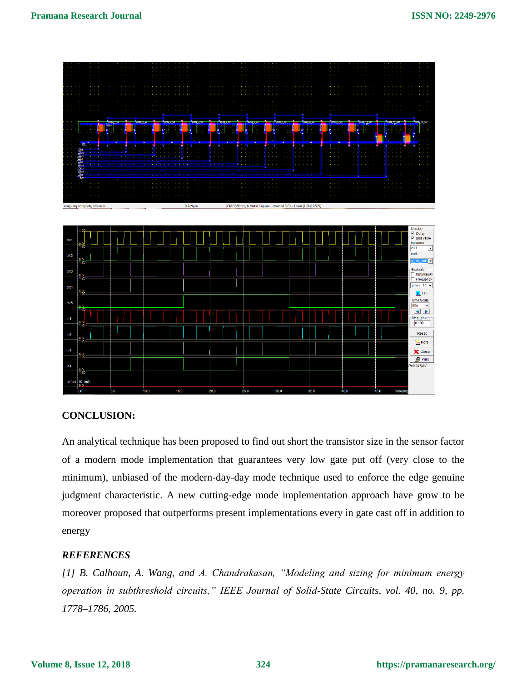

# **CONCLUSION:**

An analytical technique has been proposed to find out short the transistor size in the sensor factor of a modern mode implementation that guarantees very low gate put off (very close to the minimum), unbiased of the modern-day-day mode technique used to enforce the edge genuine judgment characteristic. A new cutting-edge mode implementation approach have grow to be moreover proposed that outperforms present implementations every in gate cast off in addition to energy

## *REFERENCES*

*[1] B. Calhoun, A. Wang, and A. Chandrakasan, "Modeling and sizing for minimum energy operation in subthreshold circuits," IEEE Journal of Solid-State Circuits, vol. 40, no. 9, pp. 1778–1786, 2005.*